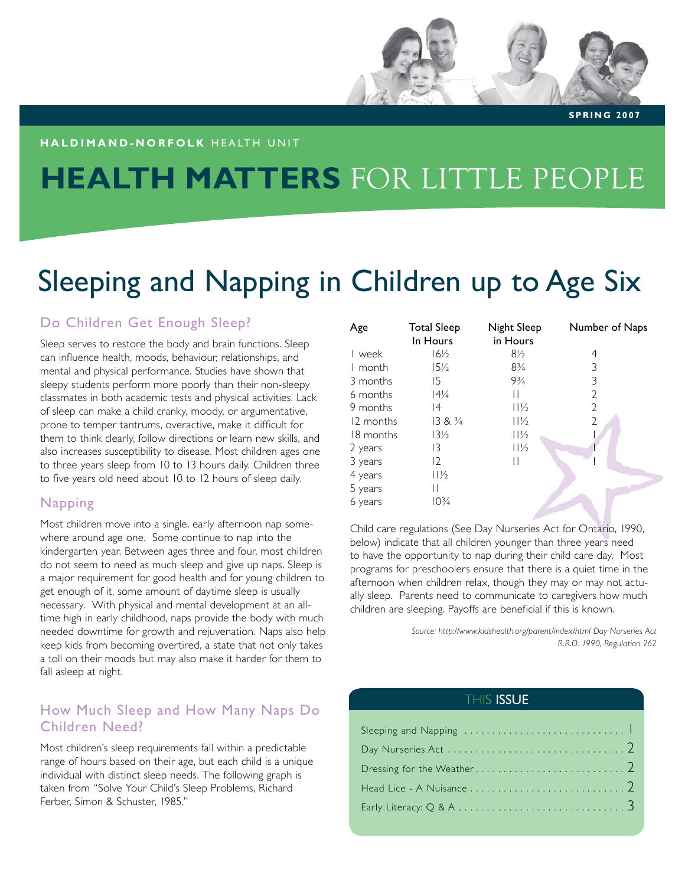#### **h a l d i m a n d - n o r f o l k** H E A LT H U N I T

# **HEALTH MATTERS** FOR LITTLE PEOPLE

# Sleeping and Napping in Children up to Age Six

## Do Children Get Enough Sleep?

Sleep serves to restore the body and brain functions. Sleep can influence health, moods, behaviour, relationships, and mental and physical performance. Studies have shown that sleepy students perform more poorly than their non-sleepy classmates in both academic tests and physical activities. Lack of sleep can make a child cranky, moody, or argumentative, prone to temper tantrums, overactive, make it difficult for them to think clearly, follow directions or learn new skills, and also increases susceptibility to disease. Most children ages one to three years sleep from 10 to 13 hours daily. Children three to five years old need about 10 to 12 hours of sleep daily.

### Napping

Most children move into a single, early afternoon nap somewhere around age one. Some continue to nap into the kindergarten year. Between ages three and four, most children do not seem to need as much sleep and give up naps. Sleep is a major requirement for good health and for young children to get enough of it, some amount of daytime sleep is usually necessary. With physical and mental development at an alltime high in early childhood, naps provide the body with much needed downtime for growth and rejuvenation. Naps also help keep kids from becoming overtired, a state that not only takes a toll on their moods but may also make it harder for them to fall asleep at night.

### How Much Sleep and How Many Naps Do Children Need?

Most children's sleep requirements fall within a predictable range of hours based on their age, but each child is a unique individual with distinct sleep needs. The following graph is taken from "Solve Your Child's Sleep Problems, Richard Ferber, Simon & Schuster, 1985."

| Age       | <b>Total Sleep</b><br>In Hours | <b>Night Sleep</b><br>in Hours | Number of Naps |
|-----------|--------------------------------|--------------------------------|----------------|
| l week    | $16\frac{1}{2}$                | $8\frac{1}{2}$                 | 4              |
| I month   | $15\frac{1}{2}$                | $8\frac{3}{4}$                 | 3              |
| 3 months  | 15                             | $9\frac{3}{4}$                 | 3              |
| 6 months  | $14\frac{1}{4}$                | $\mathsf{I}$                   | 2              |
| 9 months  | 14                             | $11\frac{1}{2}$                | 2              |
| 12 months | $13 & 8 \frac{3}{4}$           | $11\frac{1}{2}$                | $\mathcal{D}$  |
| 18 months | $13\frac{1}{2}$                | $11\frac{1}{2}$                |                |
| 2 years   | 13                             | $11\frac{1}{2}$                |                |
| 3 years   | $12 \overline{ }$              | $\mathsf{I}$                   |                |
| 4 years   | 11/2                           |                                |                |
| 5 years   | $\mathsf{I}$                   |                                |                |
| 6 years   | $10\frac{3}{4}$                |                                |                |

Child care regulations (See Day Nurseries Act for Ontario, 1990, below) indicate that all children younger than three years need to have the opportunity to nap during their child care day. Most programs for preschoolers ensure that there is a quiet time in the afternoon when children relax, though they may or may not actually sleep. Parents need to communicate to caregivers how much children are sleeping. Payoffs are beneficial if this is known.

> *Source: http://www.kidshealth.org/parent/index/html Day Nurseries Act R.R.O. 1990, Regulation 262*

#### **THIS ISSUE**

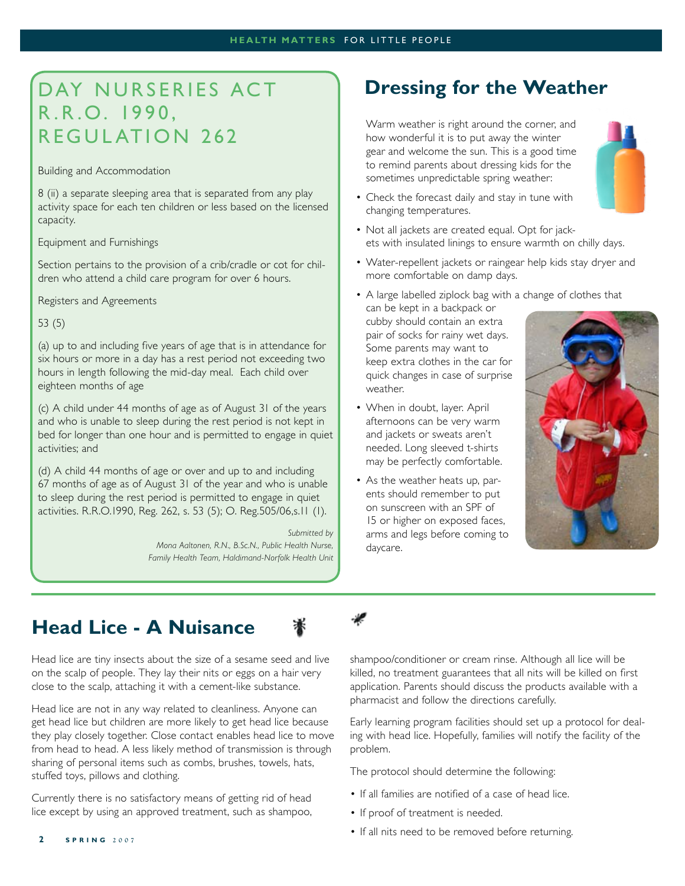# DAY NURSERIES ACT R.R.O. 1990, REGULATION 262

Building and Accommodation

8 (ii) a separate sleeping area that is separated from any play activity space for each ten children or less based on the licensed capacity.

Equipment and Furnishings

Section pertains to the provision of a crib/cradle or cot for children who attend a child care program for over 6 hours.

Registers and Agreements

53 (5)

(a) up to and including five years of age that is in attendance for six hours or more in a day has a rest period not exceeding two hours in length following the mid-day meal. Each child over eighteen months of age

(c) A child under 44 months of age as of August 31 of the years and who is unable to sleep during the rest period is not kept in bed for longer than one hour and is permitted to engage in quiet activities; and

(d) A child 44 months of age or over and up to and including 67 months of age as of August 31 of the year and who is unable to sleep during the rest period is permitted to engage in quiet activities. R.R.O.1990, Reg. 262, s. 53 (5); O. Reg.505/06,s.11 (1).

> *Submitted by Mona Aaltonen, R.N., B.Sc.N., Public Health Nurse, Family Health Team, Haldimand-Norfolk Health Unit*

## **Dressing for the Weather**

Warm weather is right around the corner, and how wonderful it is to put away the winter gear and welcome the sun. This is a good time to remind parents about dressing kids for the sometimes unpredictable spring weather:



- Check the forecast daily and stay in tune with changing temperatures.
- Not all jackets are created equal. Opt for jackets with insulated linings to ensure warmth on chilly days.
- Water-repellent jackets or raingear help kids stay dryer and more comfortable on damp days.
- A large labelled ziplock bag with a change of clothes that can be kept in a backpack or cubby should contain an extra pair of socks for rainy wet days. Some parents may want to

keep extra clothes in the car for quick changes in case of surprise weather.

- When in doubt, layer. April afternoons can be very warm and jackets or sweats aren't needed. Long sleeved t-shirts may be perfectly comfortable.
- As the weather heats up, parents should remember to put on sunscreen with an SPF of 15 or higher on exposed faces, arms and legs before coming to daycare.



# **Head Lice - A Nuisance**



Head lice are tiny insects about the size of a sesame seed and live on the scalp of people. They lay their nits or eggs on a hair very close to the scalp, attaching it with a cement-like substance.

Head lice are not in any way related to cleanliness. Anyone can get head lice but children are more likely to get head lice because they play closely together. Close contact enables head lice to move from head to head. A less likely method of transmission is through sharing of personal items such as combs, brushes, towels, hats, stuffed toys, pillows and clothing.

Currently there is no satisfactory means of getting rid of head lice except by using an approved treatment, such as shampoo, shampoo/conditioner or cream rinse. Although all lice will be killed, no treatment guarantees that all nits will be killed on first application. Parents should discuss the products available with a pharmacist and follow the directions carefully.

Early learning program facilities should set up a protocol for dealing with head lice. Hopefully, families will notify the facility of the problem.

The protocol should determine the following:

- If all families are notified of a case of head lice.
- If proof of treatment is needed.
- If all nits need to be removed before returning.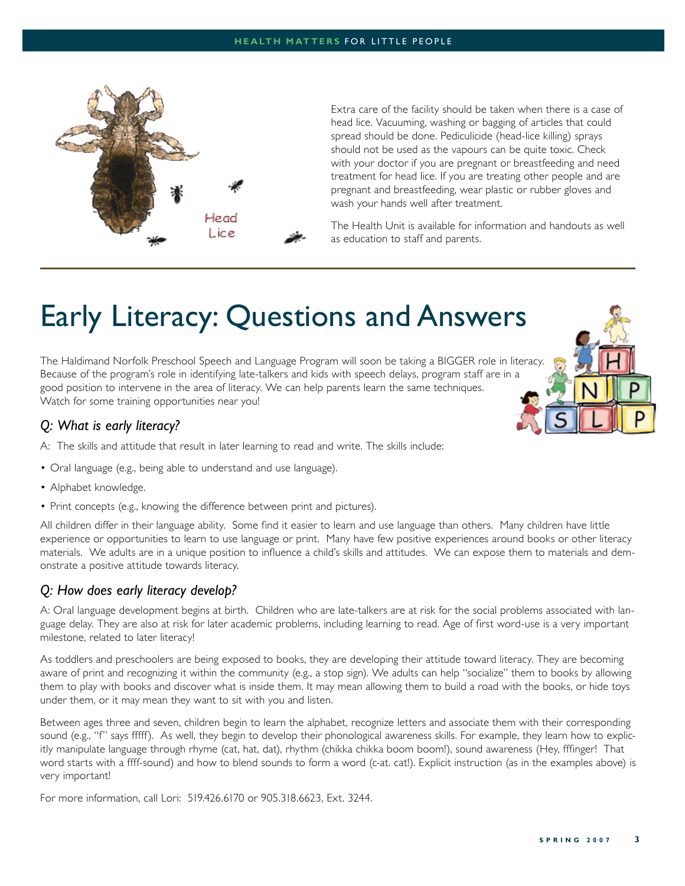

Extra care of the facility should be taken when there is a case of head lice. Vacuuming, washing or bagging of articles that could spread should be done. Pediculicide (head-lice killing) sprays should not be used as the vapours can be quite toxic. Check with your doctor if you are pregnant or breastfeeding and need treatment for head lice. If you are treating other people and are pregnant and breastfeeding, wear plastic or rubber gloves and wash your hands well after treatment.

The Health Unit is available for information and handouts as well as education to staff and parents.

# Early Literacy: Questions and Answers

The Haldimand Norfolk Preschool Speech and Language Program will soon be taking a BIGGER role in literacy. Because of the program's role in identifying late-talkers and kids with speech delays, program staff are in a good position to intervene in the area of literacy. We can help parents learn the same techniques. Watch for some training opportunities near you!



## *Q: What is early literacy?*

A: The skills and attitude that result in later learning to read and write. The skills include:

- Oral language (e.g., being able to understand and use language).
- Alphabet knowledge. •
- Print concepts (e.g., knowing the difference between print and pictures).

All children differ in their language ability. Some find it easier to learn and use language than others. Many children have little experience or opportunities to learn to use language or print. Many have few positive experiences around books or other literacy materials. We adults are in a unique position to influence a child's skills and attitudes. We can expose them to materials and demonstrate a positive attitude towards literacy.

### *Q: How does early literacy develop?*

A: Oral language development begins at birth. Children who are late-talkers are at risk for the social problems associated with language delay. They are also at risk for later academic problems, including learning to read. Age of first word-use is a very important milestone, related to later literacy!

As toddlers and preschoolers are being exposed to books, they are developing their attitude toward literacy. They are becoming aware of print and recognizing it within the community (e.g., a stop sign). We adults can help "socialize" them to books by allowing them to play with books and discover what is inside them. It may mean allowing them to build a road with the books, or hide toys under them, or it may mean they want to sit with you and listen.

Between ages three and seven, children begin to learn the alphabet, recognize letters and associate them with their corresponding sound (e.g., "f" says fffff). As well, they begin to develop their phonological awareness skills. For example, they learn how to explicitly manipulate language through rhyme (cat, hat, dat), rhythm (chikka chikka boom boom!), sound awareness (Hey, fffinger! That word starts with a ffff-sound) and how to blend sounds to form a word (c-at. cat!). Explicit instruction (as in the examples above) is very important!

For more information, call Lori: 519.426.6170 or 905.318.6623, Ext. 3244.